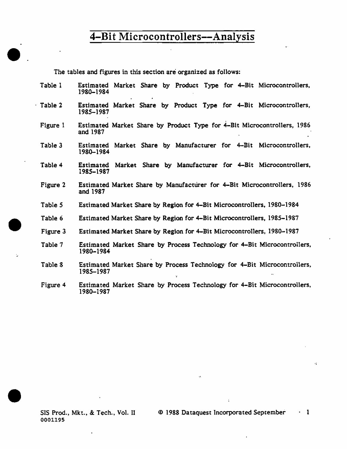The tables and figures in this section are organized as follows:

 $\bullet$  .

•

t,

•

| Table 1  | Estimated Market Share by Product Type for 4-Bit Microcontrollers,<br>1980-1984             |
|----------|---------------------------------------------------------------------------------------------|
| Table 2  | Estimated Market Share by Product Type for 4-Bit Microcontrollers,<br>1985-1987             |
| Figure 1 | Estimated Market Share by Product Type for 4-Bit Microcontrollers, 1986<br>and 1987         |
| Table 3  | Market Share by Manufacturer for 4-Bit Microcontrollers,<br>Estimated<br>1980-1984          |
| Table 4  | Market Share by Manufacturer for 4-Bit Microcontrollers,<br>Estimated<br>1985-1987          |
| Figure 2 | Estimated Market Share by Manufacturer for 4–Bit Microcontrollers, 1986<br>and 1987         |
| Table 5  | Estimated Market Share by Region for 4–Bit Microcontrollers, 1980–1984                      |
| Table 6  | Estimated Market Share by Region for 4–Bit Microcontrollers, 1985–1987                      |
| Figure 3 | Estimated Market Share by Region for 4–Bit Microcontrollers, 1980–1987                      |
| Table 7  | Estimated Market Share by Process Technology for 4–Bit Microcontrollers,<br>1980-1984       |
| Table 8  | Estimated Market Share by Process Technology for 4-Bit Microcontrollers,<br>1985–1987<br>Y. |
| Figure 4 | Estimated Market Share by Process Technology for 4-Bit Microcontrollers,<br>1980–1987       |

SIS Prod., Mkt., & Tech., Vol. II 0001195

 $\mathbf{r}$ 

 $\ddot{\ddot{\phantom{}}}$ 

 $\phi$ 

··i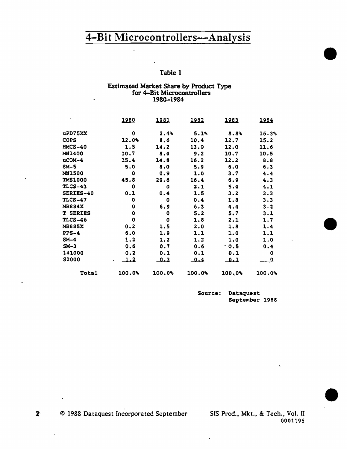$\ddot{\phantom{1}}$ 

#### Table 1

#### Estimated Market Share by Product Type for 4-Bit Microconttollers 1980-1984

|                 | 1980   | <u> 1981 </u> | <u> 1982 </u> | <u> 1983 </u> | 1984   |
|-----------------|--------|---------------|---------------|---------------|--------|
| uPD75XX         | 0      | $2.4\%$       | 5.1%          | 8.8%          | 16.3%  |
| <b>COPS</b>     | 12.0%  | 8.6           | 10.4          | 12.7          | 15.2   |
| $HMCS-40$       | 1.5    | 14.2          | 13.0          | 12.0          | 11.6   |
| MN1400          | 10.7   | 8.4           | 9.2           | 10.7          | 10.5   |
| $ucOM-4$        | 15.4   | 14.8          | 16.2          | 12.2          | 8.8    |
| $SM-5$          | 5.0    | 8.0           | 5.9           | 6.0           | 6.3    |
| <b>MN1500</b>   | o      | 0.9           | 1.0           | 3.7           | 4.4    |
| <b>TMS1000</b>  | 45.8   | 29.6          | 16.4          | 6.9           | 4.3    |
| TLCS-43         | o      | 0             | 2.1           | 5.4           | 4.1    |
| SERIES-40       | 0.1    | 0.4           | 1.5           | 3.2           | 3.3    |
| <b>TLCS-47</b>  | 0      | 0             | 0.4           | 1.8           | 3.3    |
| <b>MB884X</b>   | 0      | 6.9           | 6.3           | 4.4           | 3.2    |
| <b>T SERIES</b> | 0      | 0             | 5.2           | 5.7           | 3.1    |
| <b>TLCS-46</b>  | 0      | 0             | 1.8           | 2.1           | 1.7    |
| <b>MB885X</b>   | 0.2    | 1.5           | 2.0           | 1.8           | 1.4    |
| $PPS-4$         | 6.0    | 1.9           | 1.1           | 1.0           | 1.1    |
| $SM-4$          | 1.2    | 1, 2          | 1.2           | 1.0           | 1.0    |
| $SM-3$          | 0.6    | 0.7           | 0.6           | .0.5          | 0.4    |
| 141000          | 0.2    | 0.1           | 0.1           | 0.1           | 0      |
| <b>S2000</b>    | 1.2    | <u>_0.3</u>   | <u>0.4</u>    | <u>0.1</u>    | 0.     |
| Total           | 100.0% | $100.0\%$     | 100.0%        | 100.0%        | 100.0% |

Source: Dataquest September 1988 •

•

•

© 1988 Dataquest Incorporated September SIS Prod .• Mkt .• & Tech., Vol. II

0001195

ķ,

2-

 $\bullet$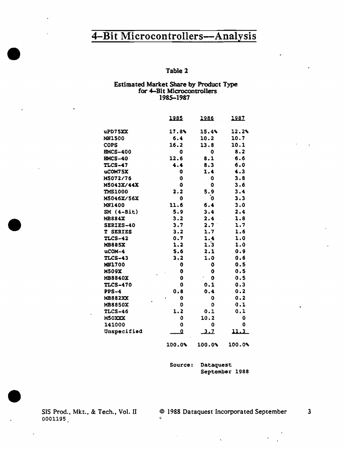# 4-Bit Microcontrollers-Analysis example the matrix of the contract of the contract of the contract of the contract of the contract of the contract of the contract of the contract of the contract of the contract of the contract of the contract of the cont

#### Estimated Market Share by Product Type for 4-Bit Microcontrollers 1985-1987

|                 | 1985                    | 1986             | 1987   |
|-----------------|-------------------------|------------------|--------|
|                 |                         |                  |        |
| uPD75XX         | 17.8%                   | 15.4%            | 12.2%  |
| <b>MN1500</b>   | 6.4                     | 10.2             | 10.7   |
| <b>COPS</b>     | 16.2                    | 13.8             | 10.1   |
| <b>HMCS-400</b> | 0                       | 0                | 8.2    |
| <b>HMCS-40</b>  | 12,6                    | 8.1              | 6.6    |
| <b>TLCS-47</b>  | 4.4                     | 8.3              | 6.0    |
| uCOM75X         | 0                       | 1.4              | 4.3    |
| M5072/76        | 0                       | 0                | 3.8    |
| M5043X/44X      | $\bf{0}$                | 0                | 3.6    |
| <b>TMS1000</b>  | 2.2                     | 5.9              | 3.4    |
| M5046X/56X      | 0                       | o                | 3.3    |
| <b>MN1400</b>   | 11.6                    | 6.4              | 3.0    |
| $SM(4-Bit)$     | 5.9                     | 3.4              | 2.4    |
| <b>MB884X</b>   | 3.2                     | 2.4              | 1.8    |
| SERIES-40       | 3.7                     | 2.7 <sup>2</sup> | 1.7    |
| <b>T SERIES</b> | 3.2                     | 1.7              | 1.6    |
| <b>TLCS-42</b>  | 0.7                     | 1.4              | 1.0    |
| <b>MB885X</b>   | 1.2                     | 1.3              | 1.0    |
| uCOM-4          | 5.6                     | 2.1              | 0.9    |
| <b>TLCS-43</b>  | 3.2                     | 1.0              | 0.6    |
| <b>MN1700</b>   | 0                       | ٥                | 0.5    |
| <b>M509X</b>    | $\mathbf 0$             | 0                | 0.5    |
| MB8840X         | $\mathbf 0$             | $\bf{0}$         | 0.5    |
| <b>TLCS-470</b> | 0                       | 0.1              | 0.3    |
| $PPS-4$         | 0.8                     | 0.4              | 0.2    |
| <b>MB882XX</b>  | 0                       | 0                | 0.2    |
| <b>MB8850X</b>  | 0                       | 0                | 0.1    |
| <b>TLCS-46</b>  | 1.2                     | 0.1              | 0.1    |
| M50XXX          | 0                       | 10.2             | 0      |
| 141000          | $\boldsymbol{0}$        | 0                | 0      |
| Unspecified     | $\overline{\mathbf{Q}}$ | 2.7              | 11.3   |
|                 | 100.0%                  | 100.0%           | 100.0% |

Source: Dataquest September 1988

SIS Prod., Mkt., & Tech., Vol. II © 1988 Dataquest Incorporated September 3 0001195 **•** 

 $\hat{\mathcal{A}}_i$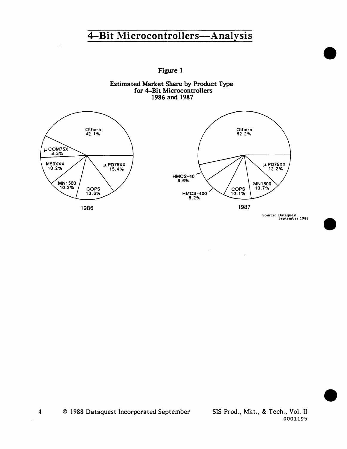Figure l







Source: Dataquest September J 988

•

•

•

© 1988 Dataquest Incorporated September SIS Prod., Mkt., & Tech., Vol. II

0001195

4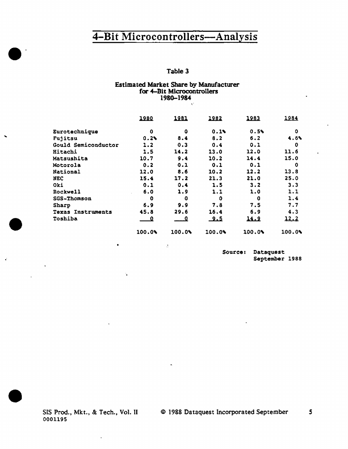#### Table 3

#### Estimated Market Share by Manufacturer for 4-Bit Microcontrollers 1980-1984 •,'

|                             | 1980   | 1981       | 1982   | 1983   | 1984   |
|-----------------------------|--------|------------|--------|--------|--------|
| Eurotechnique               | 0      | ٥          | 0.14   | 0.5%   | ٥      |
| Fujitsu                     | 0.2%   | 8.4        | 8.2    | 6.2    | 4.6%   |
| Gould Semiconductor         | 1.2    | 0.3        | 0.4    | 0.1    | 0      |
| Hitachi                     | 1.5    | 14.2       | 13.0   | 12.0   | 11.6   |
| Matsushita                  | 10.7   | 9.4        | 10.2   | 14.4   | 15.0   |
| Motorola                    | 0.2    | 0.1        | 0.1    | 0.1    | 0      |
| National                    | 12.0   | 8.6        | 10.2   | 12.2   | 13.8   |
| NEC                         | 15.4   | 17.2       | 21.3   | 21.0   | 25.0   |
| Oki                         | 0.1    | 0.4        | 1.5    | 3.2    | 3.3    |
| Rockwell                    | 6.0    | 1.9        | 1.1    | 1.0    | 1.1    |
| <b>SGS-Thomson</b>          | Đ      | o          | ٥      | 0      | 1.4    |
| Sharp                       | 6.9    | 9.9        | 7.8    | 7.5    | 7.7    |
| <b>Instruments</b><br>Texas | 45.8   | 29.6       | 16.4   | 6.9    | 4.3    |
| Toshiba                     | 0      | $\cdot$ .0 | 9.5    | 14.9   | 12.2   |
|                             | 100.0% | 100.0%     | 100.0% | 100.09 | 100.09 |

 $\langle \mathcal{Z} \rangle$ 

 $\ddot{\phantom{a}}$ 

Source: Dataquest September 1988

SIS Prod., Mkt., & Tech., Vol. II 0001195

 $\ddot{\phantom{1}}$ 

•

.

·-

•

•

.

© 1988 Dataquest Incorporated September *s*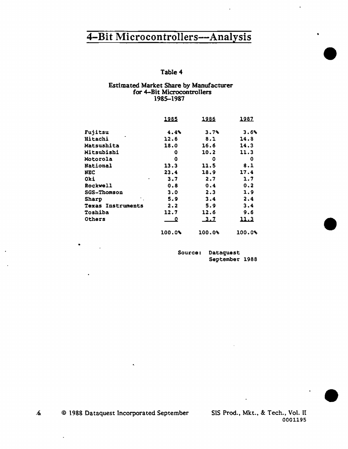#### Table 4

#### Estimated Market Share by Manufacturer for 4-Bit Microcontrol1ers 1985-1987

|                          | 1985   | 1986   | 1987   |
|--------------------------|--------|--------|--------|
| Fujitsu                  | 4.4%   | 3.7%   | 3.6%   |
| <b>Hitachi</b>           | 12.6   | 8.1    | 14.8   |
| <b>Matsushita</b>        | 18.0   | 16.6   | 14.3   |
| <b>Mitsubishi</b>        | 0      | 10.2   | 11.3   |
| Motorola                 | O      | ٥      | ٥      |
| <b>National</b>          | 13.3   | 11.5   | 8.1    |
| NEC                      | 23.4   | 18.9   | 17.4   |
| Oki<br>٠                 | 3.7    | 2.7    | 1.7    |
| <b>Rockwell</b>          | 0.8    | 0.4    | 0.2    |
| <b>SGS-Thomson</b>       | 3.0    | 2.3    | 1.9    |
| <b>Sharp</b>             | 5.9    | 3.4    | 2.4    |
| <b>Texas Instruments</b> | 2.2    | 5.9    | 3.4    |
| Toshiba                  | 12.7   | 12.6   | 9.6    |
| Others                   | 0      | 3.7    | 11.3   |
|                          | 100.0% | 100.0% | 100.0% |

Source: Dataquest September 1988

© 198& Dataquest Incorporated September SIS Prod., Mkt .• & Tech., Vol. II  $\mathbf{6}$ 

•

0001195

•

•

•

•

 $\overline{a}$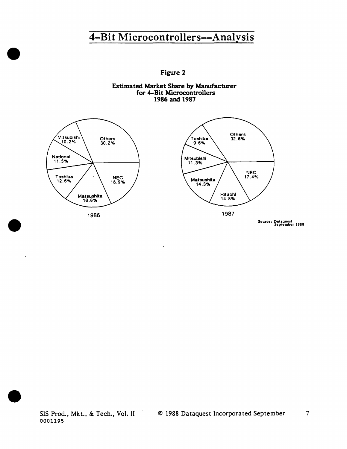Figure 2

Estimated Market Share by Manufacturer for 4-Bit Microcontrollers 1986 and 1987

 $\cdot$ 



•

•

•



Source: Dalaquest Seplcmber 1988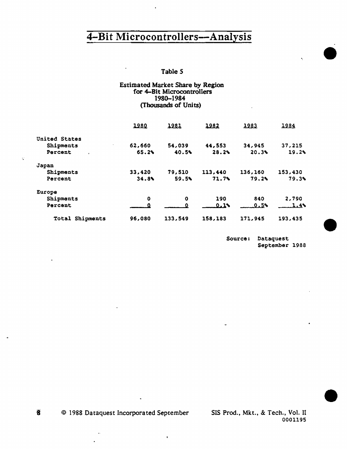#### Table *5*

 $\ddot{\phantom{a}}$ 

Q,

#### Estimated Market Share by Region for 4-Bit Microcontrollers 1980-1984 (Thousands of Units)

|                 | 1980   | 1981    | 1982    | 1983    | 1984    |
|-----------------|--------|---------|---------|---------|---------|
| United States   |        |         |         |         |         |
| Shipments       | 62,660 | 54,039  | 44,553  | 34,945  | 37,215  |
| Percent         | 65.2%  | 40.5%   | 28.2%   | 20.3%   | 19.2%   |
| Japan           |        |         |         |         |         |
| Shipments       | 33,420 | 79,510  | 113,440 | 136,160 | 153,430 |
| Percent         | 34.8%  | 59.5%   | 71.7%   | 79.2%   | 79.3%   |
| Europe          |        |         |         |         |         |
| Shipments       | 0      | o       | 190     | 840     | 2,790   |
| Percent         |        |         | 0.18    | 0.5%    | 1.4     |
| Total Shipments | 96,080 | 133,549 | 158,183 | 171,945 | 193,435 |

 $\mathbf{r}$ 

Source: Oataquest September 1988 •

 $\hat{\mathbf{r}}_i$ 

•

•

 $\overline{\mathbf{6}}$ © 1988 Dataquest Incorporated September SIS Prod., Mkt., & Tech., Vol. II

0001195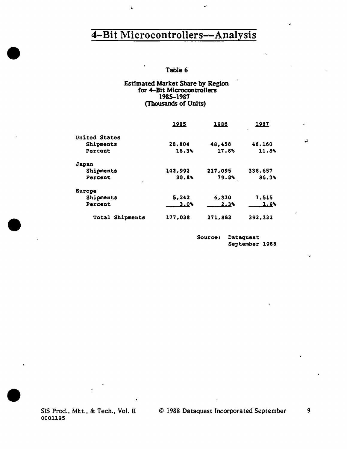$\mathbf{\hat{I}}_{\rm{b}}$ 

.-

### Table 6

#### Estimated Market Share by Region for 4-Bit Microcontrollers 1985-1987 (Thousands of Units)

|                      | 1985    | 1986    | <u> 1987</u><br>$\bullet$ |
|----------------------|---------|---------|---------------------------|
| <b>United States</b> |         |         |                           |
| Shipments            | 28,804  | 48,458  | 46,160                    |
| Percent              | 16.3%   | 17.8%   | 11.8%                     |
| Japan                |         |         |                           |
| Shipments            | 142,992 | 217,095 | 338,657                   |
| Percent              | 80.8    | 79.8    | 86.3%                     |
| Europe               |         |         |                           |
| Shipments            | 5,242   | 6,330   | 7,515                     |
| Percent              | $3.0\%$ | 2.38    | 1.9%                      |
| Shipments<br>Total   | 177.038 | 271,883 | 392,332                   |

Source: Dataquest September 1988

SIS Prod., Mkt., & Tech., Vol. II 0001195

•

•

•

© 1988 Dataquest Incorporated September

9

*9:* 

 $\hat{\rho}_\mathrm{f}$ 

.,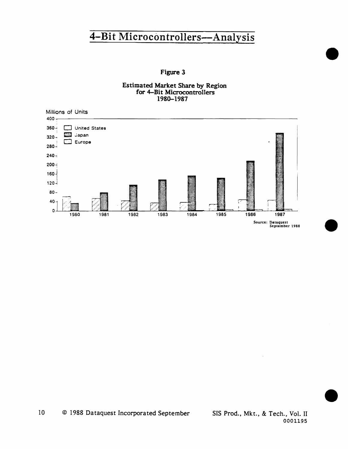### **Figure 3**





0001195

•

•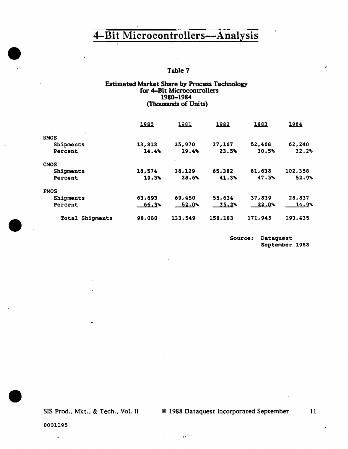#### Table 7

#### Estimated Market Share by Process Technology for 4-Bit Microcontrollers 1980-1984 (Thousands of Units)

|                    | 1980         | 1981      | 1982    | 1983    | 1984          |
|--------------------|--------------|-----------|---------|---------|---------------|
| <b>NMOS</b>        |              |           |         |         |               |
| Shipments          | 13,813       | 25,970    | 37,167  | 52,468  | 62,240        |
| Percent            | 14.4%        | 19.4%     | 23.5%   | 30.5%   | 32.2%         |
| <b>CMOS</b>        |              | $\bullet$ |         |         |               |
| Shipments          | 18,574       | 38,129    | 65,382  | 81,638  | 102,358       |
| Percent            | 19.3%        | 28.6%     | 41.3%   | 47.5%   | 52.9%         |
| <b>PMOS</b>        |              |           |         |         |               |
| Shipments          | 63,693       | 69,450    | 55,634  | 37,839  | 28,837        |
| Percent            | <u>66.34</u> | 52.0%     | 35.2%   | 22.0%   | <u>14.9</u> % |
| Shipments<br>Total | 96,080       | 133,549   | 158,183 | 171,945 | 193,435       |

Source: Dataquest September 1988

ċ.

x

SIS Prod., Mkt., & Tech., Vol. II © 1988 Dataquest Incorporated September 11

 $\hat{\mathcal{H}}$ 

 $\bullet$ 

 $\ddot{\phantom{1}}$ 

•

•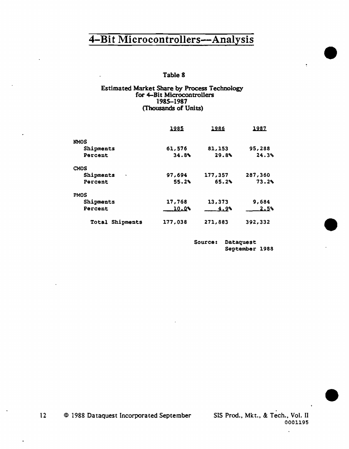#### Table 8

#### Estimated Market Share by Process Technology for 4-Bit Microcontrollers 198S-1987 (Thousands of Units)

|                           | 1985    | 1986         | 1987    |
|---------------------------|---------|--------------|---------|
| <b>NMOS</b>               |         |              |         |
| Shipments                 | 61,576  | 81,153       | 95,288  |
| Percent                   | 34.8    | 29.8%        | 24.3%   |
| CMOS                      |         |              |         |
| Shipments<br>$\bullet$    | 97,694  | 177,357      | 287,360 |
| Percent                   | 55.2    | 65.2%        | 73.2%   |
| <b>PMOS</b>               |         |              |         |
| Shipments                 | 17,768  | 13,373       | 9.684   |
| Percent                   | 10.03   | <u>4.9</u> % | 2.5%    |
| Shipments<br><b>Total</b> | 177,038 | 271,883      | 392,332 |

Source: Dataquest September 1988 •

÷,

•

•

12 © 1988 Dataquest Incorporated September SIS Prod., Mkt., & Tech., Vol. II 0001195

t,